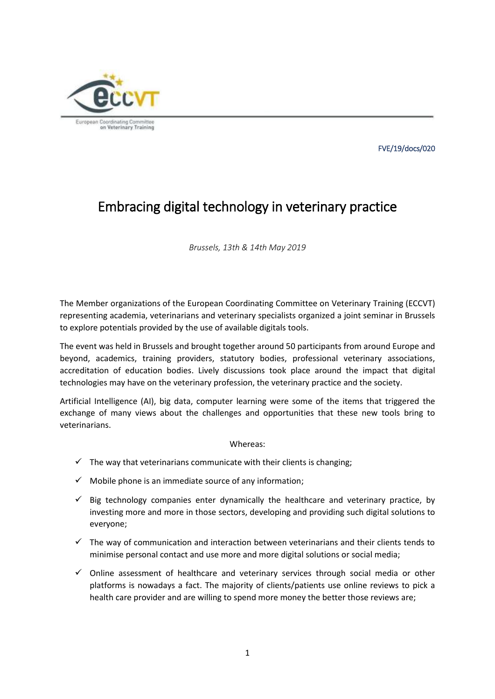

FVE/19/docs/020

# Embracing digital technology in veterinary practice

*Brussels, 13th & 14th May 2019*

The Member organizations of the European Coordinating Committee on Veterinary Training (ECCVT) representing academia, veterinarians and veterinary specialists organized a joint seminar in Brussels to explore potentials provided by the use of available digitals tools.

The event was held in Brussels and brought together around 50 participants from around Europe and beyond, academics, training providers, statutory bodies, professional veterinary associations, accreditation of education bodies. Lively discussions took place around the impact that digital technologies may have on the veterinary profession, the veterinary practice and the society.

Artificial Intelligence (AI), big data, computer learning were some of the items that triggered the exchange of many views about the challenges and opportunities that these new tools bring to veterinarians.

#### Whereas:

- $\checkmark$  The way that veterinarians communicate with their clients is changing;
- Mobile phone is an immediate source of any information;
- $\checkmark$  Big technology companies enter dynamically the healthcare and veterinary practice, by investing more and more in those sectors, developing and providing such digital solutions to everyone;
- $\checkmark$  The way of communication and interaction between veterinarians and their clients tends to minimise personal contact and use more and more digital solutions or social media;
- $\checkmark$  Online assessment of healthcare and veterinary services through social media or other platforms is nowadays a fact. The majority of clients/patients use online reviews to pick a health care provider and are willing to spend more money the better those reviews are;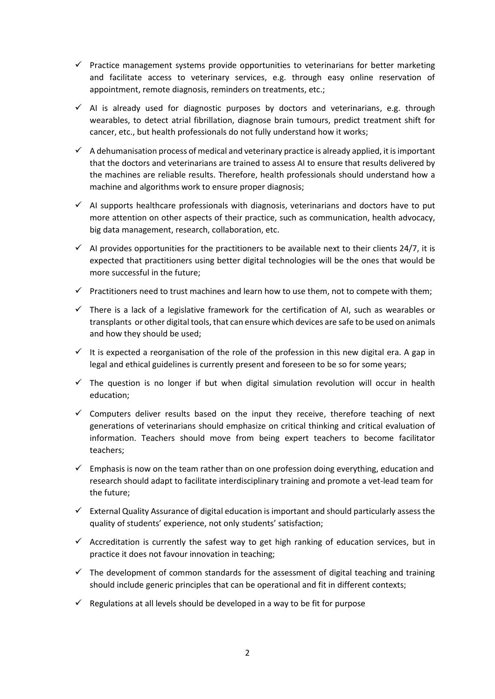- $\checkmark$  Practice management systems provide opportunities to veterinarians for better marketing and facilitate access to veterinary services, e.g. through easy online reservation of appointment, remote diagnosis, reminders on treatments, etc.;
- $\checkmark$  AI is already used for diagnostic purposes by doctors and veterinarians, e.g. through wearables, to detect atrial fibrillation, diagnose brain tumours, predict treatment shift for cancer, etc., but health professionals do not fully understand how it works;
- $\checkmark$  A dehumanisation process of medical and veterinary practice is already applied, it is important that the doctors and veterinarians are trained to assess AI to ensure that results delivered by the machines are reliable results. Therefore, health professionals should understand how a machine and algorithms work to ensure proper diagnosis;
- $\checkmark$  AI supports healthcare professionals with diagnosis, veterinarians and doctors have to put more attention on other aspects of their practice, such as communication, health advocacy, big data management, research, collaboration, etc.
- $\checkmark$  AI provides opportunities for the practitioners to be available next to their clients 24/7, it is expected that practitioners using better digital technologies will be the ones that would be more successful in the future;
- $\checkmark$  Practitioners need to trust machines and learn how to use them, not to compete with them;
- $\checkmark$  There is a lack of a legislative framework for the certification of AI, such as wearables or transplants or other digital tools, that can ensure which devices are safe to be used on animals and how they should be used;
- $\checkmark$  It is expected a reorganisation of the role of the profession in this new digital era. A gap in legal and ethical guidelines is currently present and foreseen to be so for some years;
- $\checkmark$  The question is no longer if but when digital simulation revolution will occur in health education;
- $\checkmark$  Computers deliver results based on the input they receive, therefore teaching of next generations of veterinarians should emphasize on critical thinking and critical evaluation of information. Teachers should move from being expert teachers to become facilitator teachers;
- $\checkmark$  Emphasis is now on the team rather than on one profession doing everything, education and research should adapt to facilitate interdisciplinary training and promote a vet-lead team for the future;
- $\checkmark$  External Quality Assurance of digital education is important and should particularly assess the quality of students' experience, not only students' satisfaction;
- $\checkmark$  Accreditation is currently the safest way to get high ranking of education services, but in practice it does not favour innovation in teaching;
- $\checkmark$  The development of common standards for the assessment of digital teaching and training should include generic principles that can be operational and fit in different contexts;
- $\checkmark$  Regulations at all levels should be developed in a way to be fit for purpose